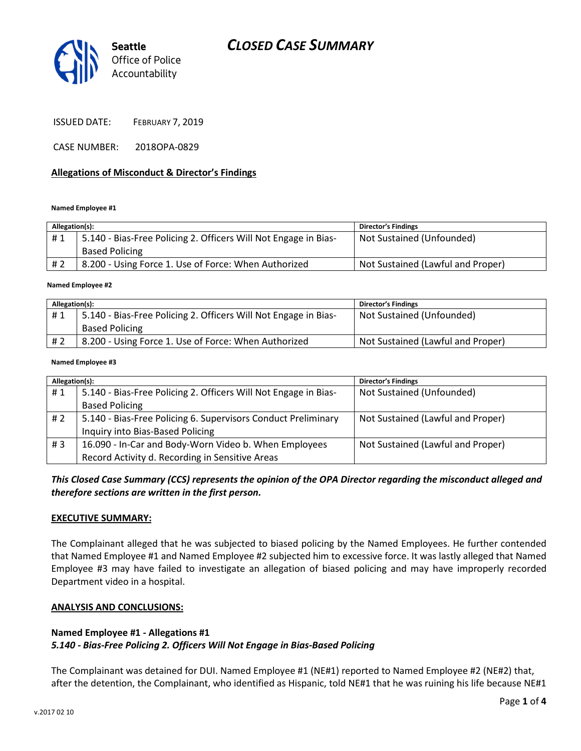# CLOSED CASE SUMMARY



ISSUED DATE: FEBRUARY 7, 2019

CASE NUMBER: 2018OPA-0829

#### Allegations of Misconduct & Director's Findings

#### Named Employee #1

| Allegation(s): |                                                                 | <b>Director's Findings</b>        |
|----------------|-----------------------------------------------------------------|-----------------------------------|
| #1             | 5.140 - Bias-Free Policing 2. Officers Will Not Engage in Bias- | Not Sustained (Unfounded)         |
|                | <b>Based Policing</b>                                           |                                   |
| #2             | 8.200 - Using Force 1. Use of Force: When Authorized            | Not Sustained (Lawful and Proper) |
|                |                                                                 |                                   |

#### Named Employee #2

| Allegation(s): |                                                                 | <b>Director's Findings</b>        |
|----------------|-----------------------------------------------------------------|-----------------------------------|
| #1             | 5.140 - Bias-Free Policing 2. Officers Will Not Engage in Bias- | Not Sustained (Unfounded)         |
|                | <b>Based Policing</b>                                           |                                   |
| # 2            | 8.200 - Using Force 1. Use of Force: When Authorized            | Not Sustained (Lawful and Proper) |

#### Named Employee #3

| Allegation(s): |                                                                 | <b>Director's Findings</b>        |
|----------------|-----------------------------------------------------------------|-----------------------------------|
| #1             | 5.140 - Bias-Free Policing 2. Officers Will Not Engage in Bias- | Not Sustained (Unfounded)         |
|                | <b>Based Policing</b>                                           |                                   |
| #2             | 5.140 - Bias-Free Policing 6. Supervisors Conduct Preliminary   | Not Sustained (Lawful and Proper) |
|                | Inquiry into Bias-Based Policing                                |                                   |
| #3             | 16.090 - In-Car and Body-Worn Video b. When Employees           | Not Sustained (Lawful and Proper) |
|                | Record Activity d. Recording in Sensitive Areas                 |                                   |

This Closed Case Summary (CCS) represents the opinion of the OPA Director regarding the misconduct alleged and therefore sections are written in the first person.

#### EXECUTIVE SUMMARY:

The Complainant alleged that he was subjected to biased policing by the Named Employees. He further contended that Named Employee #1 and Named Employee #2 subjected him to excessive force. It was lastly alleged that Named Employee #3 may have failed to investigate an allegation of biased policing and may have improperly recorded Department video in a hospital.

#### ANALYSIS AND CONCLUSIONS:

#### Named Employee #1 - Allegations #1

#### 5.140 - Bias-Free Policing 2. Officers Will Not Engage in Bias-Based Policing

The Complainant was detained for DUI. Named Employee #1 (NE#1) reported to Named Employee #2 (NE#2) that, after the detention, the Complainant, who identified as Hispanic, told NE#1 that he was ruining his life because NE#1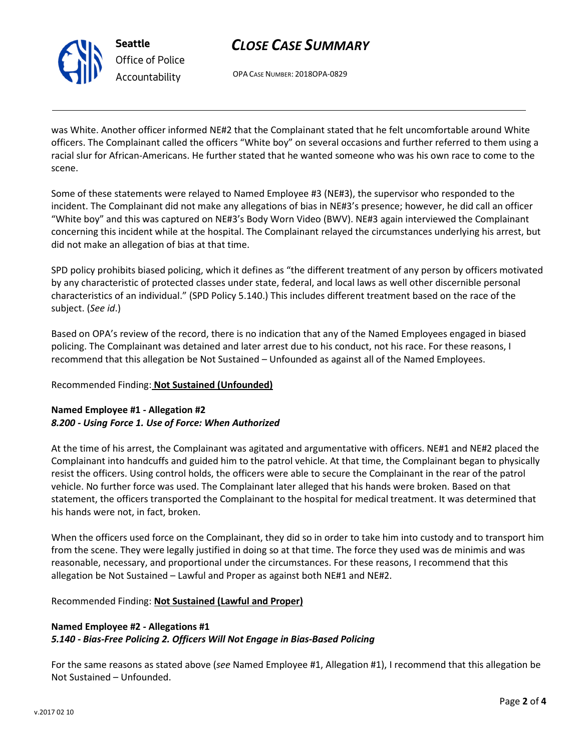

Seattle Office of Police Accountability

# CLOSE CASE SUMMARY

OPA CASE NUMBER: 2018OPA-0829

was White. Another officer informed NE#2 that the Complainant stated that he felt uncomfortable around White officers. The Complainant called the officers "White boy" on several occasions and further referred to them using a racial slur for African-Americans. He further stated that he wanted someone who was his own race to come to the scene.

Some of these statements were relayed to Named Employee #3 (NE#3), the supervisor who responded to the incident. The Complainant did not make any allegations of bias in NE#3's presence; however, he did call an officer "White boy" and this was captured on NE#3's Body Worn Video (BWV). NE#3 again interviewed the Complainant concerning this incident while at the hospital. The Complainant relayed the circumstances underlying his arrest, but did not make an allegation of bias at that time.

SPD policy prohibits biased policing, which it defines as "the different treatment of any person by officers motivated by any characteristic of protected classes under state, federal, and local laws as well other discernible personal characteristics of an individual." (SPD Policy 5.140.) This includes different treatment based on the race of the subject. (See id.)

Based on OPA's review of the record, there is no indication that any of the Named Employees engaged in biased policing. The Complainant was detained and later arrest due to his conduct, not his race. For these reasons, I recommend that this allegation be Not Sustained – Unfounded as against all of the Named Employees.

## Recommended Finding: Not Sustained (Unfounded)

## Named Employee #1 - Allegation #2 8.200 - Using Force 1. Use of Force: When Authorized

At the time of his arrest, the Complainant was agitated and argumentative with officers. NE#1 and NE#2 placed the Complainant into handcuffs and guided him to the patrol vehicle. At that time, the Complainant began to physically resist the officers. Using control holds, the officers were able to secure the Complainant in the rear of the patrol vehicle. No further force was used. The Complainant later alleged that his hands were broken. Based on that statement, the officers transported the Complainant to the hospital for medical treatment. It was determined that his hands were not, in fact, broken.

When the officers used force on the Complainant, they did so in order to take him into custody and to transport him from the scene. They were legally justified in doing so at that time. The force they used was de minimis and was reasonable, necessary, and proportional under the circumstances. For these reasons, I recommend that this allegation be Not Sustained – Lawful and Proper as against both NE#1 and NE#2.

Recommended Finding: Not Sustained (Lawful and Proper)

## Named Employee #2 - Allegations #1 5.140 - Bias-Free Policing 2. Officers Will Not Engage in Bias-Based Policing

For the same reasons as stated above (see Named Employee #1, Allegation #1), I recommend that this allegation be Not Sustained – Unfounded.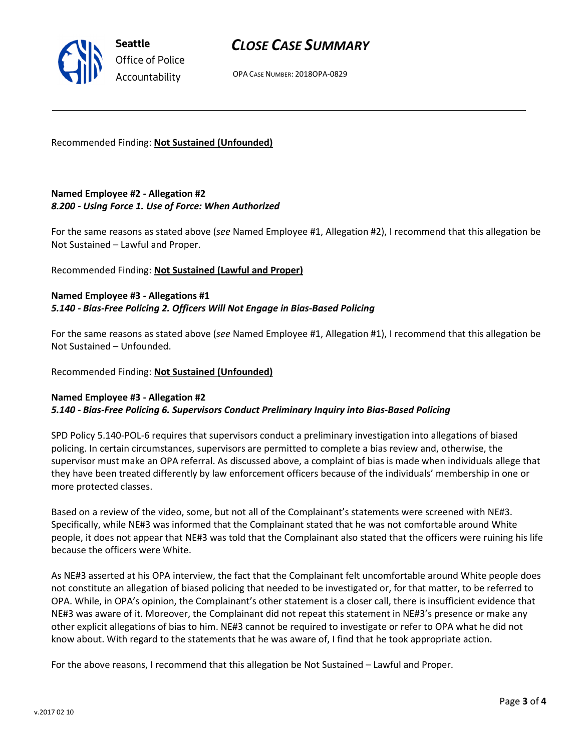# CLOSE CASE SUMMARY

OPA CASE NUMBER: 2018OPA-0829

Recommended Finding: Not Sustained (Unfounded)

## Named Employee #2 - Allegation #2 8.200 - Using Force 1. Use of Force: When Authorized

For the same reasons as stated above (see Named Employee #1, Allegation #2), I recommend that this allegation be Not Sustained – Lawful and Proper.

## Recommended Finding: Not Sustained (Lawful and Proper)

### Named Employee #3 - Allegations #1 5.140 - Bias-Free Policing 2. Officers Will Not Engage in Bias-Based Policing

For the same reasons as stated above (see Named Employee #1, Allegation #1), I recommend that this allegation be Not Sustained – Unfounded.

#### Recommended Finding: Not Sustained (Unfounded)

#### Named Employee #3 - Allegation #2 5.140 - Bias-Free Policing 6. Supervisors Conduct Preliminary Inquiry into Bias-Based Policing

SPD Policy 5.140-POL-6 requires that supervisors conduct a preliminary investigation into allegations of biased policing. In certain circumstances, supervisors are permitted to complete a bias review and, otherwise, the supervisor must make an OPA referral. As discussed above, a complaint of bias is made when individuals allege that they have been treated differently by law enforcement officers because of the individuals' membership in one or more protected classes.

Based on a review of the video, some, but not all of the Complainant's statements were screened with NE#3. Specifically, while NE#3 was informed that the Complainant stated that he was not comfortable around White people, it does not appear that NE#3 was told that the Complainant also stated that the officers were ruining his life because the officers were White.

As NE#3 asserted at his OPA interview, the fact that the Complainant felt uncomfortable around White people does not constitute an allegation of biased policing that needed to be investigated or, for that matter, to be referred to OPA. While, in OPA's opinion, the Complainant's other statement is a closer call, there is insufficient evidence that NE#3 was aware of it. Moreover, the Complainant did not repeat this statement in NE#3's presence or make any other explicit allegations of bias to him. NE#3 cannot be required to investigate or refer to OPA what he did not know about. With regard to the statements that he was aware of, I find that he took appropriate action.

For the above reasons, I recommend that this allegation be Not Sustained – Lawful and Proper.



Seattle Office of Police Accountability